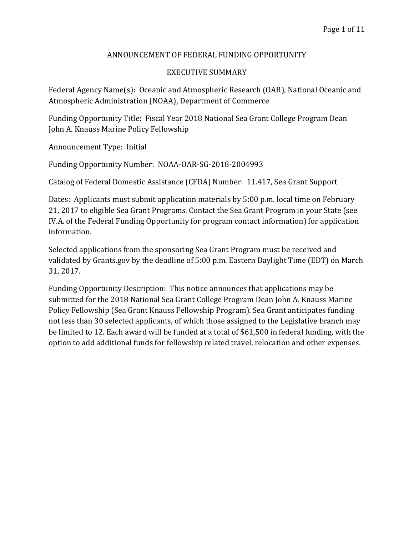# ANNOUNCEMENT OF FEDERAL FUNDING OPPORTUNITY

# EXECUTIVE SUMMARY

Federal Agency Name(s): Oceanic and Atmospheric Research (OAR), National Oceanic and Atmospheric Administration (NOAA), Department of Commerce

Funding Opportunity Title: Fiscal Year 2018 National Sea Grant College Program Dean John A. Knauss Marine Policy Fellowship

Announcement Type: Initial

Funding Opportunity Number: NOAA-OAR-SG-2018-2004993

Catalog of Federal Domestic Assistance (CFDA) Number: 11.417, Sea Grant Support

Dates: Applicants must submit application materials by 5:00 p.m. local time on February 21, 2017 to eligible Sea Grant Programs. Contact the Sea Grant Program in your State (see IV.A. of the Federal Funding Opportunity for program contact information) for application information.

Selected applications from the sponsoring Sea Grant Program must be received and validated by Grants.gov by the deadline of 5:00 p.m. Eastern Daylight Time (EDT) on March 31, 2017.

Funding Opportunity Description: This notice announces that applications may be submitted for the 2018 National Sea Grant College Program Dean John A. Knauss Marine Policy Fellowship (Sea Grant Knauss Fellowship Program). Sea Grant anticipates funding not less than 30 selected applicants, of which those assigned to the Legislative branch may be limited to 12. Each award will be funded at a total of \$61,500 in federal funding, with the option to add additional funds for fellowship related travel, relocation and other expenses.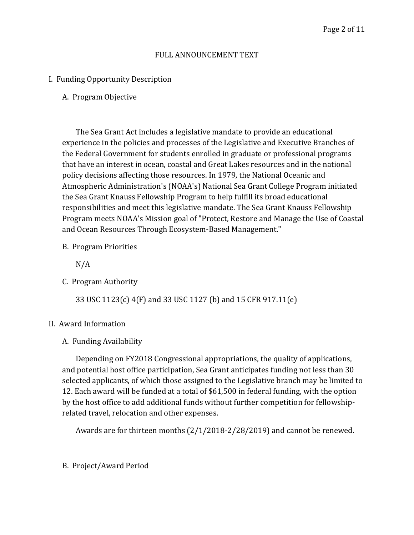# FULL ANNOUNCEMENT TEXT

# I. Funding Opportunity Description

# A. Program Objective

The Sea Grant Act includes a legislative mandate to provide an educational experience in the policies and processes of the Legislative and Executive Branches of the Federal Government for students enrolled in graduate or professional programs that have an interest in ocean, coastal and Great Lakes resources and in the national policy decisions affecting those resources. In 1979, the National Oceanic and Atmospheric Administration's (NOAA's) National Sea Grant College Program initiated the Sea Grant Knauss Fellowship Program to help fulfill its broad educational responsibilities and meet this legislative mandate. The Sea Grant Knauss Fellowship Program meets NOAA's Mission goal of "Protect, Restore and Manage the Use of Coastal and Ocean Resources Through Ecosystem-Based Management."

B. Program Priorities

N/A

C. Program Authority

33 USC 1123(c) 4(F) and 33 USC 1127 (b) and 15 CFR 917.11(e)

## II. Award Information

## A. Funding Availability

Depending on FY2018 Congressional appropriations, the quality of applications, and potential host office participation, Sea Grant anticipates funding not less than 30 selected applicants, of which those assigned to the Legislative branch may be limited to 12. Each award will be funded at a total of \$61,500 in federal funding, with the option by the host office to add additional funds without further competition for fellowshiprelated travel, relocation and other expenses.

Awards are for thirteen months (2/1/2018-2/28/2019) and cannot be renewed.

# B. Project/Award Period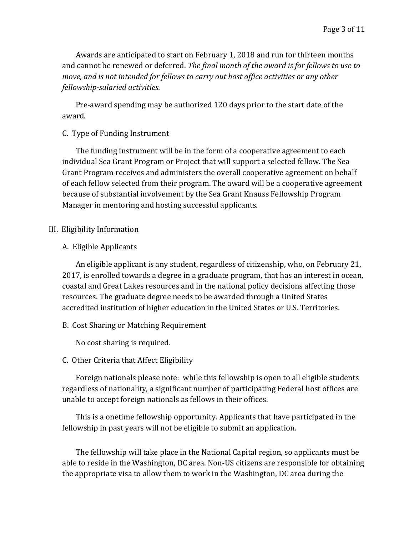Awards are anticipated to start on February 1, 2018 and run for thirteen months and cannot be renewed or deferred. *The final month of the award is for fellows to use to move, and is not intended for fellows to carry out host office activities or any other fellowship-salaried activities.* 

Pre-award spending may be authorized 120 days prior to the start date of the award.

# C. Type of Funding Instrument

The funding instrument will be in the form of a cooperative agreement to each individual Sea Grant Program or Project that will support a selected fellow. The Sea Grant Program receives and administers the overall cooperative agreement on behalf of each fellow selected from their program. The award will be a cooperative agreement because of substantial involvement by the Sea Grant Knauss Fellowship Program Manager in mentoring and hosting successful applicants.

# III. Eligibility Information

# A. Eligible Applicants

An eligible applicant is any student, regardless of citizenship, who, on February 21, 2017, is enrolled towards a degree in a graduate program, that has an interest in ocean, coastal and Great Lakes resources and in the national policy decisions affecting those resources. The graduate degree needs to be awarded through a United States accredited institution of higher education in the United States or U.S. Territories.

# B. Cost Sharing or Matching Requirement

No cost sharing is required.

# C. Other Criteria that Affect Eligibility

Foreign nationals please note: while this fellowship is open to all eligible students regardless of nationality, a significant number of participating Federal host offices are unable to accept foreign nationals as fellows in their offices.

This is a onetime fellowship opportunity. Applicants that have participated in the fellowship in past years will not be eligible to submit an application.

The fellowship will take place in the National Capital region, so applicants must be able to reside in the Washington, DC area. Non-US citizens are responsible for obtaining the appropriate visa to allow them to work in the Washington, DC area during the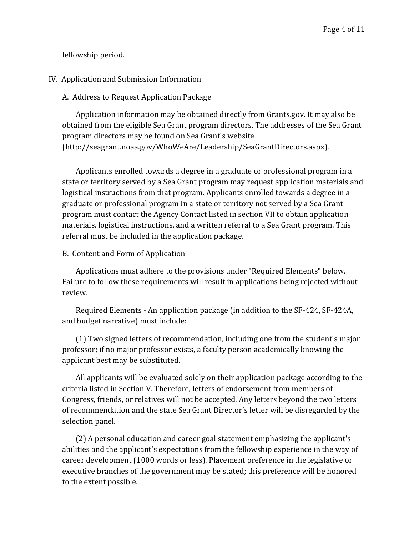fellowship period.

## IV. Application and Submission Information

A. Address to Request Application Package

Application information may be obtained directly from Grants.gov. It may also be obtained from the eligible Sea Grant program directors. The addresses of the Sea Grant program directors may be found on Sea Grant's website (http://seagrant.noaa.gov/WhoWeAre/Leadership/SeaGrantDirectors.aspx).

Applicants enrolled towards a degree in a graduate or professional program in a state or territory served by a Sea Grant program may request application materials and logistical instructions from that program. Applicants enrolled towards a degree in a graduate or professional program in a state or territory not served by a Sea Grant program must contact the Agency Contact listed in section VII to obtain application materials, logistical instructions, and a written referral to a Sea Grant program. This referral must be included in the application package.

B. Content and Form of Application

Applications must adhere to the provisions under "Required Elements" below. Failure to follow these requirements will result in applications being rejected without review.

Required Elements - An application package (in addition to the SF-424, SF-424A, and budget narrative) must include:

(1) Two signed letters of recommendation, including one from the student's major professor; if no major professor exists, a faculty person academically knowing the applicant best may be substituted.

All applicants will be evaluated solely on their application package according to the criteria listed in Section V. Therefore, letters of endorsement from members of Congress, friends, or relatives will not be accepted. Any letters beyond the two letters of recommendation and the state Sea Grant Director's letter will be disregarded by the selection panel.

(2) A personal education and career goal statement emphasizing the applicant's abilities and the applicant's expectations from the fellowship experience in the way of career development (1000 words or less). Placement preference in the legislative or executive branches of the government may be stated; this preference will be honored to the extent possible.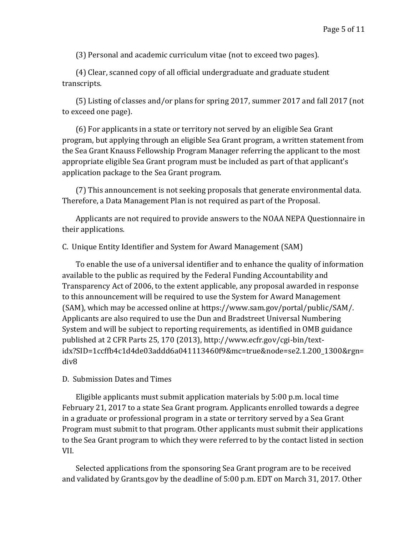(3) Personal and academic curriculum vitae (not to exceed two pages).

(4) Clear, scanned copy of all official undergraduate and graduate student transcripts.

(5) Listing of classes and/or plans for spring 2017, summer 2017 and fall 2017 (not to exceed one page).

(6) For applicants in a state or territory not served by an eligible Sea Grant program, but applying through an eligible Sea Grant program, a written statement from the Sea Grant Knauss Fellowship Program Manager referring the applicant to the most appropriate eligible Sea Grant program must be included as part of that applicant's application package to the Sea Grant program.

(7) This announcement is not seeking proposals that generate environmental data. Therefore, a Data Management Plan is not required as part of the Proposal.

Applicants are not required to provide answers to the NOAA NEPA Questionnaire in their applications.

## C. Unique Entity Identifier and System for Award Management (SAM)

To enable the use of a universal identifier and to enhance the quality of information available to the public as required by the Federal Funding Accountability and Transparency Act of 2006, to the extent applicable, any proposal awarded in response to this announcement will be required to use the System for Award Management (SAM), which may be accessed online at https://www.sam.gov/portal/public/SAM/. Applicants are also required to use the Dun and Bradstreet Universal Numbering System and will be subject to reporting requirements, as identified in OMB guidance published at 2 CFR Parts 25, 170 (2013), http://www.ecfr.gov/cgi-bin/textidx?SID=1ccffb4c1d4de03addd6a041113460f9&mc=true&node=se2.1.200\_1300&rgn= div8

#### D. Submission Dates and Times

Eligible applicants must submit application materials by 5:00 p.m. local time February 21, 2017 to a state Sea Grant program. Applicants enrolled towards a degree in a graduate or professional program in a state or territory served by a Sea Grant Program must submit to that program. Other applicants must submit their applications to the Sea Grant program to which they were referred to by the contact listed in section VII.

Selected applications from the sponsoring Sea Grant program are to be received and validated by Grants.gov by the deadline of 5:00 p.m. EDT on March 31, 2017. Other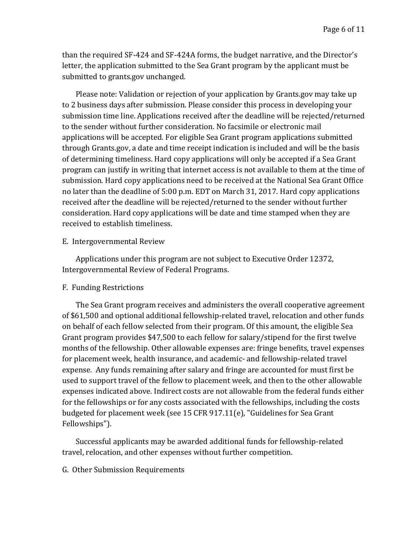than the required SF-424 and SF-424A forms, the budget narrative, and the Director's letter, the application submitted to the Sea Grant program by the applicant must be submitted to grants.gov unchanged.

Please note: Validation or rejection of your application by Grants.gov may take up to 2 business days after submission. Please consider this process in developing your submission time line. Applications received after the deadline will be rejected/returned to the sender without further consideration. No facsimile or electronic mail applications will be accepted. For eligible Sea Grant program applications submitted through Grants.gov, a date and time receipt indication is included and will be the basis of determining timeliness. Hard copy applications will only be accepted if a Sea Grant program can justify in writing that internet access is not available to them at the time of submission. Hard copy applications need to be received at the National Sea Grant Office no later than the deadline of 5:00 p.m. EDT on March 31, 2017. Hard copy applications received after the deadline will be rejected/returned to the sender without further consideration. Hard copy applications will be date and time stamped when they are received to establish timeliness.

#### E. Intergovernmental Review

Applications under this program are not subject to Executive Order 12372, Intergovernmental Review of Federal Programs.

#### F. Funding Restrictions

The Sea Grant program receives and administers the overall cooperative agreement of \$61,500 and optional additional fellowship-related travel, relocation and other funds on behalf of each fellow selected from their program. Of this amount, the eligible Sea Grant program provides \$47,500 to each fellow for salary/stipend for the first twelve months of the fellowship. Other allowable expenses are: fringe benefits, travel expenses for placement week, health insurance, and academic- and fellowship-related travel expense. Any funds remaining after salary and fringe are accounted for must first be used to support travel of the fellow to placement week, and then to the other allowable expenses indicated above. Indirect costs are not allowable from the federal funds either for the fellowships or for any costs associated with the fellowships, including the costs budgeted for placement week (see 15 CFR 917.11(e), "Guidelines for Sea Grant Fellowships").

Successful applicants may be awarded additional funds for fellowship-related travel, relocation, and other expenses without further competition.

#### G. Other Submission Requirements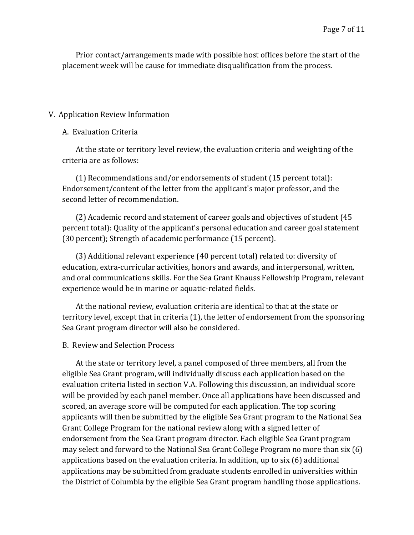Prior contact/arrangements made with possible host offices before the start of the placement week will be cause for immediate disqualification from the process.

## V. Application Review Information

### A. Evaluation Criteria

At the state or territory level review, the evaluation criteria and weighting of the criteria are as follows:

(1) Recommendations and/or endorsements of student (15 percent total): Endorsement/content of the letter from the applicant's major professor, and the second letter of recommendation.

(2) Academic record and statement of career goals and objectives of student (45 percent total): Quality of the applicant's personal education and career goal statement (30 percent); Strength of academic performance (15 percent).

(3) Additional relevant experience (40 percent total) related to: diversity of education, extra-curricular activities, honors and awards, and interpersonal, written, and oral communications skills. For the Sea Grant Knauss Fellowship Program, relevant experience would be in marine or aquatic-related fields.

At the national review, evaluation criteria are identical to that at the state or territory level, except that in criteria (1), the letter of endorsement from the sponsoring Sea Grant program director will also be considered.

## B. Review and Selection Process

At the state or territory level, a panel composed of three members, all from the eligible Sea Grant program, will individually discuss each application based on the evaluation criteria listed in section V.A. Following this discussion, an individual score will be provided by each panel member. Once all applications have been discussed and scored, an average score will be computed for each application. The top scoring applicants will then be submitted by the eligible Sea Grant program to the National Sea Grant College Program for the national review along with a signed letter of endorsement from the Sea Grant program director. Each eligible Sea Grant program may select and forward to the National Sea Grant College Program no more than six (6) applications based on the evaluation criteria. In addition, up to six (6) additional applications may be submitted from graduate students enrolled in universities within the District of Columbia by the eligible Sea Grant program handling those applications.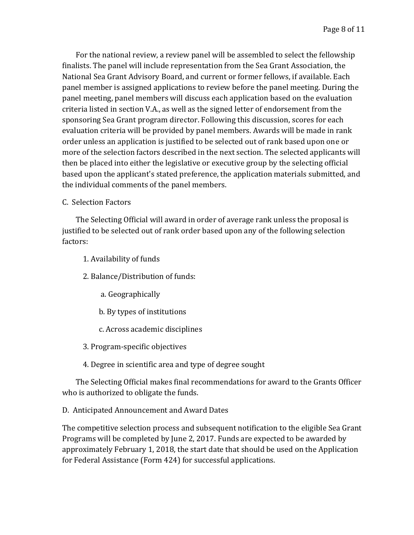For the national review, a review panel will be assembled to select the fellowship finalists. The panel will include representation from the Sea Grant Association, the National Sea Grant Advisory Board, and current or former fellows, if available. Each panel member is assigned applications to review before the panel meeting. During the panel meeting, panel members will discuss each application based on the evaluation criteria listed in section V.A., as well as the signed letter of endorsement from the sponsoring Sea Grant program director. Following this discussion, scores for each evaluation criteria will be provided by panel members. Awards will be made in rank order unless an application is justified to be selected out of rank based upon one or more of the selection factors described in the next section. The selected applicants will then be placed into either the legislative or executive group by the selecting official based upon the applicant's stated preference, the application materials submitted, and the individual comments of the panel members.

# C. Selection Factors

The Selecting Official will award in order of average rank unless the proposal is justified to be selected out of rank order based upon any of the following selection factors:

- 1. Availability of funds
- 2. Balance/Distribution of funds:
	- a. Geographically
	- b. By types of institutions
	- c. Across academic disciplines
- 3. Program-specific objectives
- 4. Degree in scientific area and type of degree sought

The Selecting Official makes final recommendations for award to the Grants Officer who is authorized to obligate the funds.

# D. Anticipated Announcement and Award Dates

The competitive selection process and subsequent notification to the eligible Sea Grant Programs will be completed by June 2, 2017. Funds are expected to be awarded by approximately February 1, 2018, the start date that should be used on the Application for Federal Assistance (Form 424) for successful applications.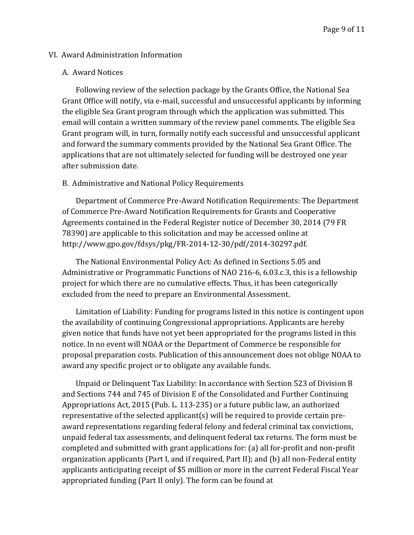### VI. Award Administration Information

#### A. Award Notices

Following review of the selection package by the Grants Office, the National Sea Grant Office will notify, via e-mail, successful and unsuccessful applicants by informing the eligible Sea Grant program through which the application was submitted. This email will contain a written summary of the review panel comments. The eligible Sea Grant program will, in turn, formally notify each successful and unsuccessful applicant and forward the summary comments provided by the National Sea Grant Office. The applications that are not ultimately selected for funding will be destroyed one year after submission date.

## B. Administrative and National Policy Requirements

Department of Commerce Pre-Award Notification Requirements: The Department of Commerce Pre-Award Notification Requirements for Grants and Cooperative Agreements contained in the Federal Register notice of December 30, 2014 (79 FR 78390) are applicable to this solicitation and may be accessed online at http://www.gpo.gov/fdsys/pkg/FR-2014-12-30/pdf/2014-30297.pdf.

The National Environmental Policy Act: As defined in Sections 5.05 and Administrative or Programmatic Functions of NAO 216-6, 6.03.c.3, this is a fellowship project for which there are no cumulative effects. Thus, it has been categorically excluded from the need to prepare an Environmental Assessment.

Limitation of Liability: Funding for programs listed in this notice is contingent upon the availability of continuing Congressional appropriations. Applicants are hereby given notice that funds have not yet been appropriated for the programs listed in this notice. In no event will NOAA or the Department of Commerce be responsible for proposal preparation costs. Publication of this announcement does not oblige NOAA to award any specific project or to obligate any available funds.

Unpaid or Delinquent Tax Liability: In accordance with Section 523 of Division B and Sections 744 and 745 of Division E of the Consolidated and Further Continuing Appropriations Act, 2015 (Pub. L. 113-235) or a future public law, an authorized representative of the selected applicant(s) will be required to provide certain preaward representations regarding federal felony and federal criminal tax convictions, unpaid federal tax assessments, and delinquent federal tax returns. The form must be completed and submitted with grant applications for: (a) all for-profit and non-profit organization applicants (Part I, and if required, Part II); and (b) all non-Federal entity applicants anticipating receipt of \$5 million or more in the current Federal Fiscal Year appropriated funding (Part II only). The form can be found at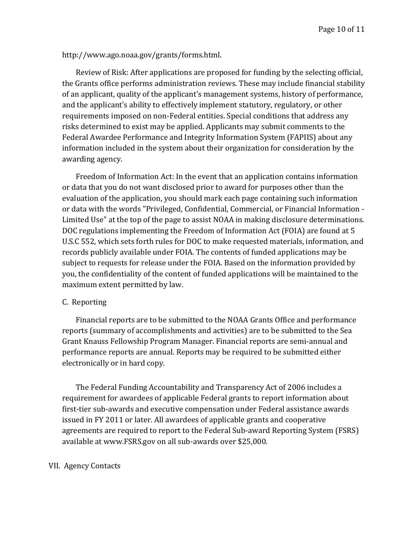# http://www.ago.noaa.gov/grants/forms.html.

Review of Risk: After applications are proposed for funding by the selecting official, the Grants office performs administration reviews. These may include financial stability of an applicant, quality of the applicant's management systems, history of performance, and the applicant's ability to effectively implement statutory, regulatory, or other requirements imposed on non-Federal entities. Special conditions that address any risks determined to exist may be applied. Applicants may submit comments to the Federal Awardee Performance and Integrity Information System (FAPIIS) about any information included in the system about their organization for consideration by the awarding agency.

Freedom of Information Act: In the event that an application contains information or data that you do not want disclosed prior to award for purposes other than the evaluation of the application, you should mark each page containing such information or data with the words "Privileged, Confidential, Commercial, or Financial Information - Limited Use" at the top of the page to assist NOAA in making disclosure determinations. DOC regulations implementing the Freedom of Information Act (FOIA) are found at 5 U.S.C 552, which sets forth rules for DOC to make requested materials, information, and records publicly available under FOIA. The contents of funded applications may be subject to requests for release under the FOIA. Based on the information provided by you, the confidentiality of the content of funded applications will be maintained to the maximum extent permitted by law.

## C. Reporting

Financial reports are to be submitted to the NOAA Grants Office and performance reports (summary of accomplishments and activities) are to be submitted to the Sea Grant Knauss Fellowship Program Manager. Financial reports are semi-annual and performance reports are annual. Reports may be required to be submitted either electronically or in hard copy.

The Federal Funding Accountability and Transparency Act of 2006 includes a requirement for awardees of applicable Federal grants to report information about first-tier sub-awards and executive compensation under Federal assistance awards issued in FY 2011 or later. All awardees of applicable grants and cooperative agreements are required to report to the Federal Sub-award Reporting System (FSRS) available at www.FSRS.gov on all sub-awards over \$25,000.

#### VII. Agency Contacts